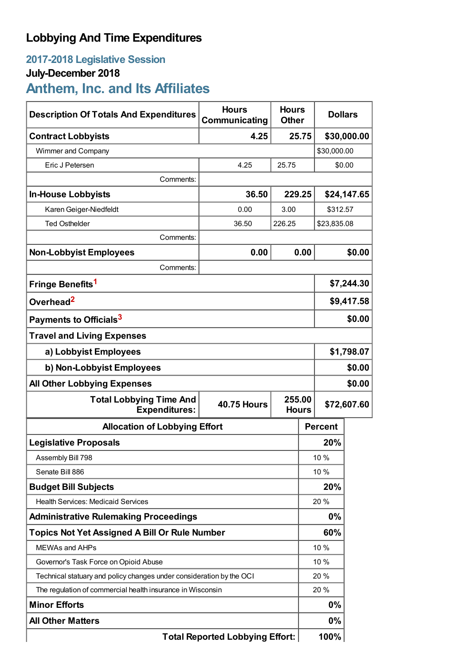## **Lobbying And Time Expenditures**

## **2017-2018 Legislative Session**

# **July-December 2018**

# **Anthem, Inc. and Its Affiliates**

| <b>Description Of Totals And Expenditures</b>                                          | <b>Hours</b><br>Communicating | <b>Hours</b><br><b>Other</b> |              | <b>Dollars</b> |             |
|----------------------------------------------------------------------------------------|-------------------------------|------------------------------|--------------|----------------|-------------|
| <b>Contract Lobbyists</b>                                                              | 4.25                          |                              | 25.75        |                | \$30,000.00 |
| Wimmer and Company                                                                     |                               |                              |              | \$30,000.00    |             |
| Eric J Petersen                                                                        | 4.25                          | 25.75                        |              | \$0.00         |             |
| Comments:                                                                              |                               |                              |              |                |             |
| <b>In-House Lobbyists</b>                                                              | 36.50                         | 229.25                       |              |                | \$24,147.65 |
| Karen Geiger-Niedfeldt                                                                 | 0.00                          | 3.00                         |              | \$312.57       |             |
| <b>Ted Osthelder</b>                                                                   | 36.50                         | 226.25                       | \$23,835.08  |                |             |
| Comments:                                                                              |                               |                              |              |                |             |
| <b>Non-Lobbyist Employees</b>                                                          | 0.00                          |                              | 0.00         |                | \$0.00      |
| Comments:                                                                              |                               |                              |              |                |             |
| Fringe Benefits <sup>1</sup>                                                           |                               |                              | \$7,244.30   |                |             |
| Overhead <sup>2</sup>                                                                  |                               |                              |              | \$9,417.58     |             |
| Payments to Officials <sup>3</sup>                                                     |                               |                              |              | \$0.00         |             |
| <b>Travel and Living Expenses</b>                                                      |                               |                              |              |                |             |
| a) Lobbyist Employees                                                                  |                               |                              |              | \$1,798.07     |             |
| b) Non-Lobbyist Employees                                                              |                               |                              |              | \$0.00         |             |
| \$0.00<br><b>All Other Lobbying Expenses</b>                                           |                               |                              |              |                |             |
| <b>Total Lobbying Time And</b><br>255.00<br><b>40.75 Hours</b><br><b>Expenditures:</b> |                               |                              | <b>Hours</b> | \$72,607.60    |             |
| <b>Allocation of Lobbying Effort</b>                                                   |                               |                              |              | <b>Percent</b> |             |
| <b>Legislative Proposals</b>                                                           |                               |                              |              | 20%            |             |
| Assembly Bill 798                                                                      |                               |                              |              | 10 %           |             |
| Senate Bill 886                                                                        |                               |                              |              | 10 %           |             |
| <b>Budget Bill Subjects</b>                                                            |                               |                              |              | 20%            |             |
| <b>Health Services: Medicaid Services</b>                                              |                               |                              | 20%          |                |             |
| <b>Administrative Rulemaking Proceedings</b>                                           |                               |                              | 0%           |                |             |
| <b>Topics Not Yet Assigned A Bill Or Rule Number</b>                                   |                               |                              |              | 60%            |             |
| <b>MEWAs and AHPs</b>                                                                  |                               |                              | 10 %         |                |             |
| Governor's Task Force on Opioid Abuse                                                  |                               |                              | 10 %         |                |             |
| Technical statuary and policy changes under consideration by the OCI                   |                               |                              |              | 20%            |             |
| The regulation of commercial health insurance in Wisconsin                             |                               |                              | 20%          |                |             |
| <b>Minor Efforts</b>                                                                   |                               | 0%                           |              |                |             |
| <b>All Other Matters</b>                                                               |                               |                              |              | $0\%$          |             |
| <b>Total Reported Lobbying Effort:</b>                                                 |                               |                              |              | 100%           |             |